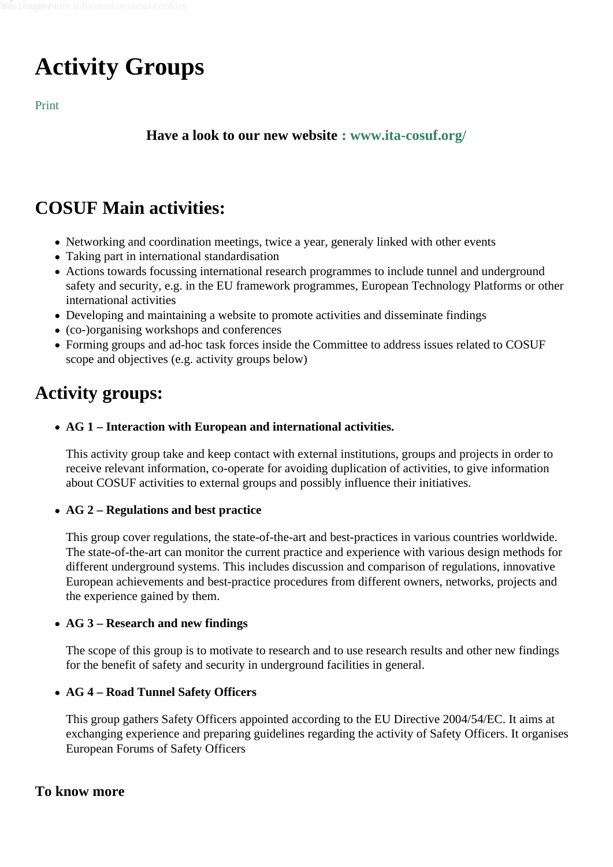## Activity Groups

Print

Have a look to our new website www.ita-cosuf.org/

## COSUF Main activities:

- Networking and coordination meetings, twice a year, generaly linked with other events
- Taking part in international standardisation
- Actions towards focussing international research programmes to include tunnel and underground safety and security, e.g. in the EU framework programmes, European Technology Platforms or other international activities
- Developing and maintaining a website to promote activities and disseminate findings
- (co-)organising workshops and conferences
- Forming groups and ad-hoc task forces inside the Committee to address issues related to COSUF scope and objectives (e.g. activity groups below)

## Activity groups:

AG 1 – Interaction with European and international activities.

This activity group take and keep contact with external institutions, groups and projects in order to receive relevant information, co-operate for avoiding duplication of activities, to give information about COSUF activities to external groups and possibly influence their initiatives.

• AG 2 – Regulations and best practice

This group cover regulations, the state-of-the-art and best-practices in various countries worldwide. The state-of-the-art can monitor the current practice and experience with various design methods for different underground systems. This includes discussion and comparison of regulations, innovative European achievements and best-practice procedures from different owners, networks, projects and the experience gained by them.

• AG 3 – Research and new findings

The scope of this group is to motivate to research and to use research results and other new findings for the benefit of safety and security in underground facilities in general.

• AG 4 – Road Tunnel Safety Officers

This group gathers Safety Officers appointed according to the EU Directive 2004/54/EC. It aims at exchanging experience and preparing guidelines regarding the activity of Safety Officers. It organises European Forums of Safety Officers

## To know more